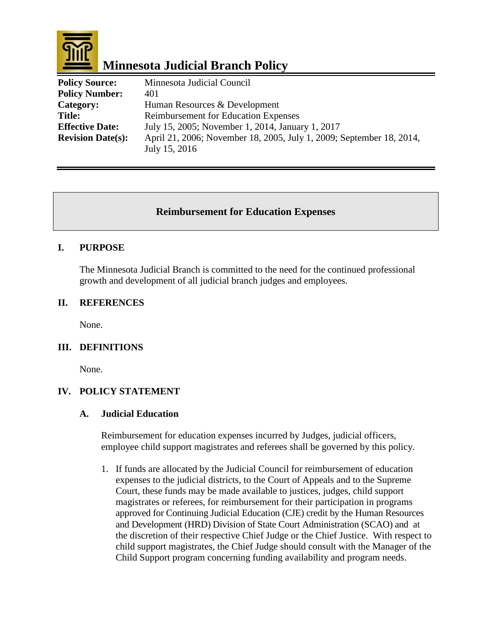

# **Minnesota Judicial Branch Policy**

| <b>Policy Source:</b>    | Minnesota Judicial Council                                           |
|--------------------------|----------------------------------------------------------------------|
| <b>Policy Number:</b>    | 401                                                                  |
| Category:                | Human Resources & Development                                        |
| <b>Title:</b>            | <b>Reimbursement for Education Expenses</b>                          |
| <b>Effective Date:</b>   | July 15, 2005; November 1, 2014, January 1, 2017                     |
| <b>Revision Date(s):</b> | April 21, 2006; November 18, 2005, July 1, 2009; September 18, 2014, |
|                          | July 15, 2016                                                        |

## **Reimbursement for Education Expenses**

#### **I. PURPOSE**

The Minnesota Judicial Branch is committed to the need for the continued professional growth and development of all judicial branch judges and employees.

#### **II. REFERENCES**

None.

#### **III. DEFINITIONS**

None.

#### **IV. POLICY STATEMENT**

#### **A. Judicial Education**

Reimbursement for education expenses incurred by Judges, judicial officers, employee child support magistrates and referees shall be governed by this policy.

1. If funds are allocated by the Judicial Council for reimbursement of education expenses to the judicial districts, to the Court of Appeals and to the Supreme Court, these funds may be made available to justices, judges, child support magistrates or referees, for reimbursement for their participation in programs approved for Continuing Judicial Education (CJE) credit by the Human Resources and Development (HRD) Division of State Court Administration (SCAO) and at the discretion of their respective Chief Judge or the Chief Justice. With respect to child support magistrates, the Chief Judge should consult with the Manager of the Child Support program concerning funding availability and program needs.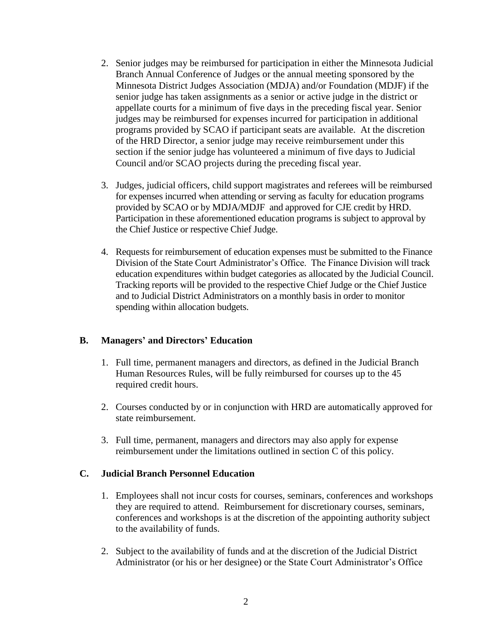- 2. Senior judges may be reimbursed for participation in either the Minnesota Judicial Branch Annual Conference of Judges or the annual meeting sponsored by the Minnesota District Judges Association (MDJA) and/or Foundation (MDJF) if the senior judge has taken assignments as a senior or active judge in the district or appellate courts for a minimum of five days in the preceding fiscal year. Senior judges may be reimbursed for expenses incurred for participation in additional programs provided by SCAO if participant seats are available. At the discretion of the HRD Director, a senior judge may receive reimbursement under this section if the senior judge has volunteered a minimum of five days to Judicial Council and/or SCAO projects during the preceding fiscal year.
- 3. Judges, judicial officers, child support magistrates and referees will be reimbursed for expenses incurred when attending or serving as faculty for education programs provided by SCAO or by MDJA/MDJF and approved for CJE credit by HRD. Participation in these aforementioned education programs is subject to approval by the Chief Justice or respective Chief Judge.
- 4. Requests for reimbursement of education expenses must be submitted to the Finance Division of the State Court Administrator's Office. The Finance Division will track education expenditures within budget categories as allocated by the Judicial Council. Tracking reports will be provided to the respective Chief Judge or the Chief Justice and to Judicial District Administrators on a monthly basis in order to monitor spending within allocation budgets.

## **B. Managers' and Directors' Education**

- 1. Full time, permanent managers and directors, as defined in the Judicial Branch Human Resources Rules, will be fully reimbursed for courses up to the 45 required credit hours.
- 2. Courses conducted by or in conjunction with HRD are automatically approved for state reimbursement.
- 3. Full time, permanent, managers and directors may also apply for expense reimbursement under the limitations outlined in section C of this policy.

## **C. Judicial Branch Personnel Education**

- 1. Employees shall not incur costs for courses, seminars, conferences and workshops they are required to attend. Reimbursement for discretionary courses, seminars, conferences and workshops is at the discretion of the appointing authority subject to the availability of funds.
- 2. Subject to the availability of funds and at the discretion of the Judicial District Administrator (or his or her designee) or the State Court Administrator's Office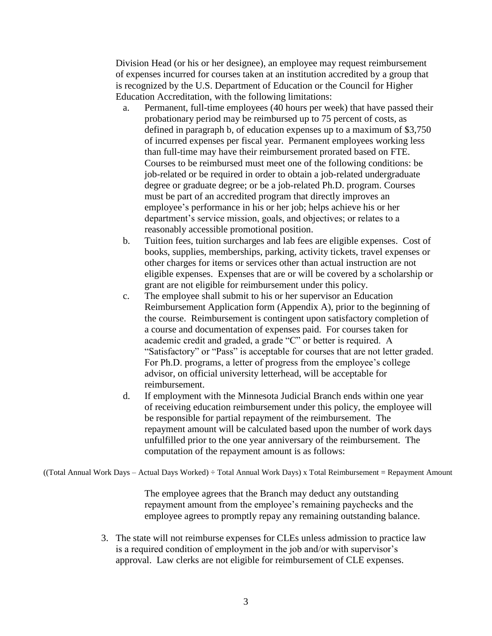Division Head (or his or her designee), an employee may request reimbursement of expenses incurred for courses taken at an institution accredited by a group that is recognized by the U.S. Department of Education or the Council for Higher Education Accreditation, with the following limitations:

- a. Permanent, full-time employees (40 hours per week) that have passed their probationary period may be reimbursed up to 75 percent of costs, as defined in paragraph b, of education expenses up to a maximum of \$3,750 of incurred expenses per fiscal year. Permanent employees working less than full-time may have their reimbursement prorated based on FTE. Courses to be reimbursed must meet one of the following conditions: be job-related or be required in order to obtain a job-related undergraduate degree or graduate degree; or be a job-related Ph.D. program. Courses must be part of an accredited program that directly improves an employee's performance in his or her job; helps achieve his or her department's service mission, goals, and objectives; or relates to a reasonably accessible promotional position.
- b. Tuition fees, tuition surcharges and lab fees are eligible expenses. Cost of books, supplies, memberships, parking, activity tickets, travel expenses or other charges for items or services other than actual instruction are not eligible expenses. Expenses that are or will be covered by a scholarship or grant are not eligible for reimbursement under this policy.
- c. The employee shall submit to his or her supervisor an Education Reimbursement Application form (Appendix A), prior to the beginning of the course. Reimbursement is contingent upon satisfactory completion of a course and documentation of expenses paid. For courses taken for academic credit and graded, a grade "C" or better is required. A "Satisfactory" or "Pass" is acceptable for courses that are not letter graded. For Ph.D. programs, a letter of progress from the employee's college advisor, on official university letterhead, will be acceptable for reimbursement.
- d. If employment with the Minnesota Judicial Branch ends within one year of receiving education reimbursement under this policy, the employee will be responsible for partial repayment of the reimbursement. The repayment amount will be calculated based upon the number of work days unfulfilled prior to the one year anniversary of the reimbursement. The computation of the repayment amount is as follows:

((Total Annual Work Days – Actual Days Worked) ÷ Total Annual Work Days) x Total Reimbursement = Repayment Amount

The employee agrees that the Branch may deduct any outstanding repayment amount from the employee's remaining paychecks and the employee agrees to promptly repay any remaining outstanding balance.

3. The state will not reimburse expenses for CLEs unless admission to practice law is a required condition of employment in the job and/or with supervisor's approval. Law clerks are not eligible for reimbursement of CLE expenses.